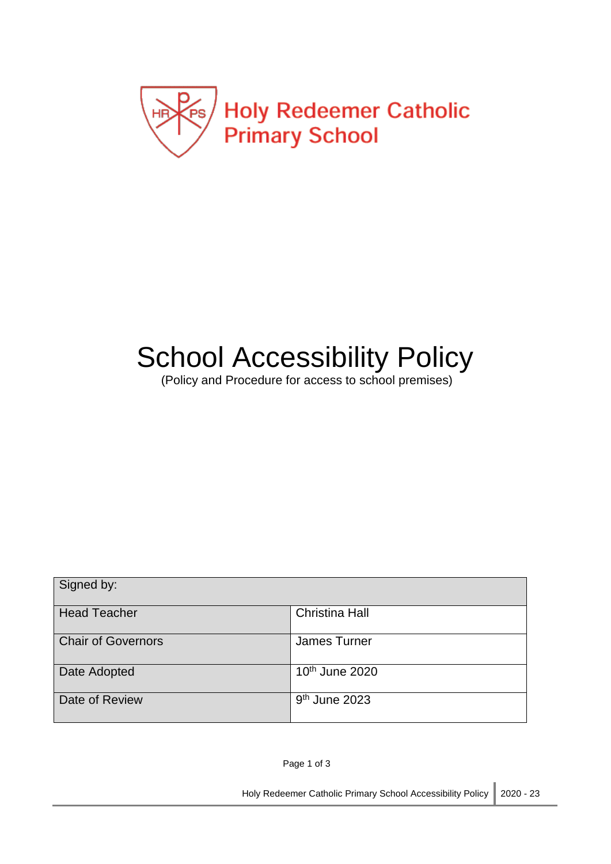

# School Accessibility Policy

(Policy and Procedure for access to school premises)

| Signed by:                |                           |
|---------------------------|---------------------------|
| <b>Head Teacher</b>       | <b>Christina Hall</b>     |
| <b>Chair of Governors</b> | James Turner              |
| Date Adopted              | $10th$ June 2020          |
| Date of Review            | 9 <sup>th</sup> June 2023 |

Page 1 of 3

Holy Redeemer Catholic Primary School Accessibility Policy 2020 - 23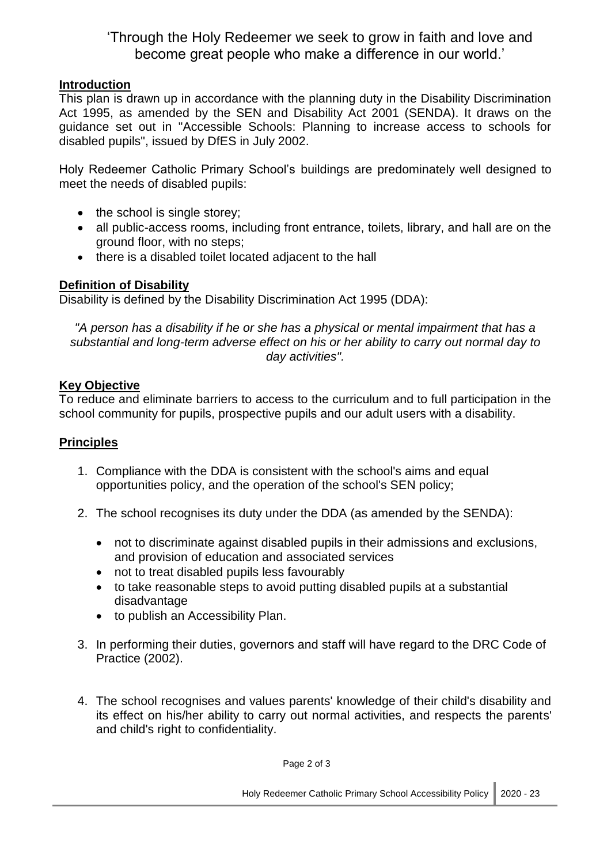# 'Through the Holy Redeemer we seek to grow in faith and love and become great people who make a difference in our world.'

# **Introduction**

This plan is drawn up in accordance with the planning duty in the Disability Discrimination Act 1995, as amended by the SEN and Disability Act 2001 (SENDA). It draws on the guidance set out in "Accessible Schools: Planning to increase access to schools for disabled pupils", issued by DfES in July 2002.

Holy Redeemer Catholic Primary School's buildings are predominately well designed to meet the needs of disabled pupils:

- $\bullet$  the school is single storey;
- all public-access rooms, including front entrance, toilets, library, and hall are on the ground floor, with no steps;
- there is a disabled toilet located adjacent to the hall

#### **Definition of Disability**

Disability is defined by the Disability Discrimination Act 1995 (DDA):

*"A person has a disability if he or she has a physical or mental impairment that has a substantial and long-term adverse effect on his or her ability to carry out normal day to day activities".*

#### **Key Objective**

To reduce and eliminate barriers to access to the curriculum and to full participation in the school community for pupils, prospective pupils and our adult users with a disability.

# **Principles**

- 1. Compliance with the DDA is consistent with the school's aims and equal opportunities policy, and the operation of the school's SEN policy;
- 2. The school recognises its duty under the DDA (as amended by the SENDA):
	- not to discriminate against disabled pupils in their admissions and exclusions, and provision of education and associated services
	- not to treat disabled pupils less favourably
	- to take reasonable steps to avoid putting disabled pupils at a substantial disadvantage
	- to publish an Accessibility Plan.
- 3. In performing their duties, governors and staff will have regard to the DRC Code of Practice (2002).
- 4. The school recognises and values parents' knowledge of their child's disability and its effect on his/her ability to carry out normal activities, and respects the parents' and child's right to confidentiality.

Page 2 of 3